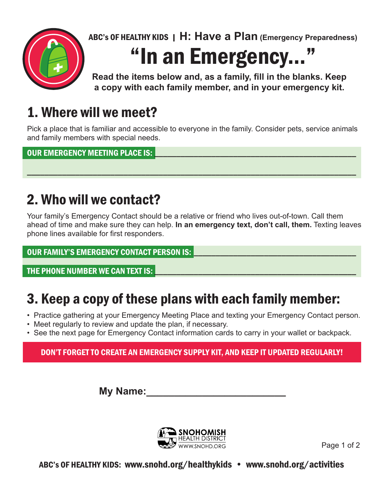

ABC's OF HEALTHY KIDS | **H: Have a Plan (Emergency Preparedness)**

# "In an Emergency..."

**Read the items below and, as a family, fill in the blanks. Keep a copy with each family member, and in your emergency kit.**

## 1. Where will we meet?

Pick a place that is familiar and accessible to everyone in the family. Consider pets, service animals and family members with special needs.

\_\_\_\_\_\_\_\_\_\_\_\_\_\_\_\_\_\_\_\_\_\_\_\_\_\_\_\_\_\_\_\_\_\_\_\_\_\_\_\_\_\_\_\_\_\_\_\_\_\_\_\_\_\_\_\_\_\_\_\_\_\_\_\_\_\_\_\_\_\_\_\_\_\_\_

OUR EMERGENCY MEETING PLACE IS:

## 2. Who will we contact?

Your family's Emergency Contact should be a relative or friend who lives out-of-town. Call them ahead of time and make sure they can help. **In an emergency text, don't call, them.** Texting leaves phone lines available for first responders.

#### OUR FAMILY'S EMERGENCY CONTACT PERSON IS:

THE PHONE NUMBER WE CAN TEXT IS:

## 3. Keep a copy of these plans with each family member:

- Practice gathering at your Emergency Meeting Place and texting your Emergency Contact person.
- Meet regularly to review and update the plan, if necessary.
- See the next page for Emergency Contact information cards to carry in your wallet or backpack.

#### DON'T FORGET TO CREATE AN EMERGENCY SUPPLY KIT, AND KEEP IT UPDATED REGULARLY!

**My Name:\_\_\_\_\_\_\_\_\_\_\_\_\_\_\_\_\_\_\_\_\_\_\_\_\_**



Page 1 of 2

ABC's OF HEALTHY KIDS: www.snohd.org/healthykids • www.snohd.org/activities